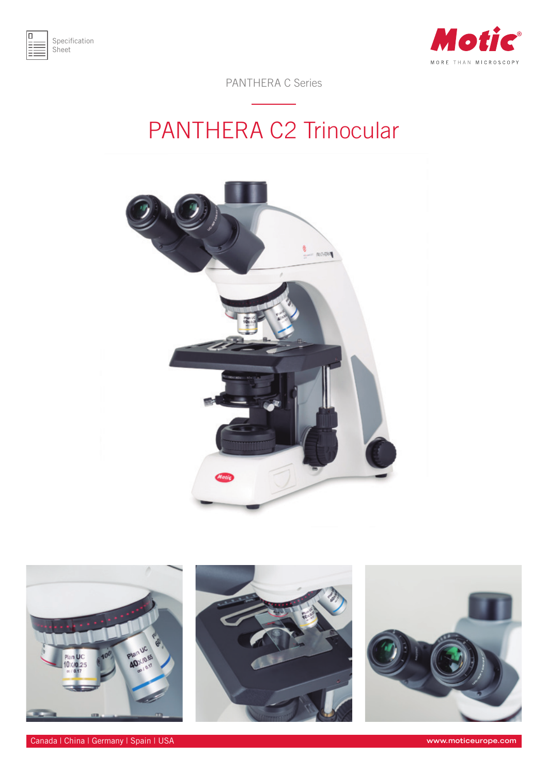



PANTHERA C Series

## PANTHERA C2 Trinocular